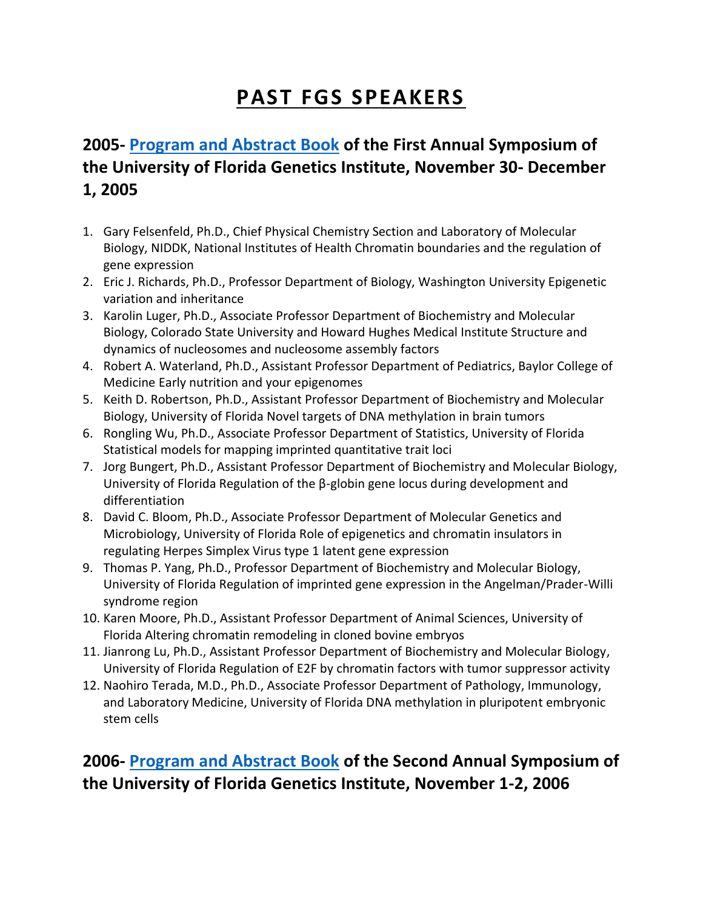# **PAST FGS SPEAKERS**

# **2005- [Program and Abstract Book](http://ufdc.ufl.edu/IR00000752/00001) of the First Annual Symposium of the University of Florida Genetics Institute, November 30- December 1, 2005**

- 1. Gary Felsenfeld, Ph.D., Chief Physical Chemistry Section and Laboratory of Molecular Biology, NIDDK, National Institutes of Health Chromatin boundaries and the regulation of gene expression
- 2. Eric J. Richards, Ph.D., Professor Department of Biology, Washington University Epigenetic variation and inheritance
- 3. Karolin Luger, Ph.D., Associate Professor Department of Biochemistry and Molecular Biology, Colorado State University and Howard Hughes Medical Institute Structure and dynamics of nucleosomes and nucleosome assembly factors
- 4. Robert A. Waterland, Ph.D., Assistant Professor Department of Pediatrics, Baylor College of Medicine Early nutrition and your epigenomes
- 5. Keith D. Robertson, Ph.D., Assistant Professor Department of Biochemistry and Molecular Biology, University of Florida Novel targets of DNA methylation in brain tumors
- 6. Rongling Wu, Ph.D., Associate Professor Department of Statistics, University of Florida Statistical models for mapping imprinted quantitative trait loci
- 7. Jorg Bungert, Ph.D., Assistant Professor Department of Biochemistry and Molecular Biology, University of Florida Regulation of the β-globin gene locus during development and differentiation
- 8. David C. Bloom, Ph.D., Associate Professor Department of Molecular Genetics and Microbiology, University of Florida Role of epigenetics and chromatin insulators in regulating Herpes Simplex Virus type 1 latent gene expression
- 9. Thomas P. Yang, Ph.D., Professor Department of Biochemistry and Molecular Biology, University of Florida Regulation of imprinted gene expression in the Angelman/Prader-Willi syndrome region
- 10. Karen Moore, Ph.D., Assistant Professor Department of Animal Sciences, University of Florida Altering chromatin remodeling in cloned bovine embryos
- 11. Jianrong Lu, Ph.D., Assistant Professor Department of Biochemistry and Molecular Biology, University of Florida Regulation of E2F by chromatin factors with tumor suppressor activity
- 12. Naohiro Terada, M.D., Ph.D., Associate Professor Department of Pathology, Immunology, and Laboratory Medicine, University of Florida DNA methylation in pluripotent embryonic stem cells

# **2006- [Program and Abstract Book](http://ufdc.ufl.edu/IR00000753/00001) of the Second Annual Symposium of the University of Florida Genetics Institute, November 1-2, 2006**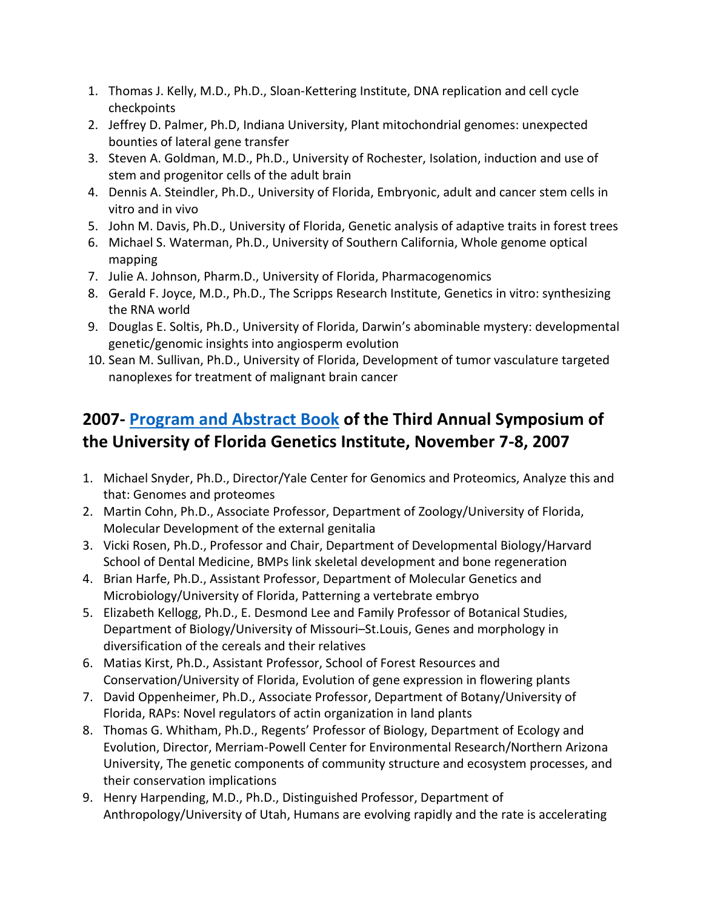- 1. Thomas J. Kelly, M.D., Ph.D., Sloan-Kettering Institute, DNA replication and cell cycle checkpoints
- 2. Jeffrey D. Palmer, Ph.D, Indiana University, Plant mitochondrial genomes: unexpected bounties of lateral gene transfer
- 3. Steven A. Goldman, M.D., Ph.D., University of Rochester, Isolation, induction and use of stem and progenitor cells of the adult brain
- 4. Dennis A. Steindler, Ph.D., University of Florida, Embryonic, adult and cancer stem cells in vitro and in vivo
- 5. John M. Davis, Ph.D., University of Florida, Genetic analysis of adaptive traits in forest trees
- 6. Michael S. Waterman, Ph.D., University of Southern California, Whole genome optical mapping
- 7. Julie A. Johnson, Pharm.D., University of Florida, Pharmacogenomics
- 8. Gerald F. Joyce, M.D., Ph.D., The Scripps Research Institute, Genetics in vitro: synthesizing the RNA world
- 9. Douglas E. Soltis, Ph.D., University of Florida, Darwin's abominable mystery: developmental genetic/genomic insights into angiosperm evolution
- 10. Sean M. Sullivan, Ph.D., University of Florida, Development of tumor vasculature targeted nanoplexes for treatment of malignant brain cancer

# **2007- [Program and Abstract Book](http://ufdc.ufl.edu/IR00000754/00001) of the Third Annual Symposium of the University of Florida Genetics Institute, November 7-8, 2007**

- 1. Michael Snyder, Ph.D., Director/Yale Center for Genomics and Proteomics, Analyze this and that: Genomes and proteomes
- 2. Martin Cohn, Ph.D., Associate Professor, Department of Zoology/University of Florida, Molecular Development of the external genitalia
- 3. Vicki Rosen, Ph.D., Professor and Chair, Department of Developmental Biology/Harvard School of Dental Medicine, BMPs link skeletal development and bone regeneration
- 4. Brian Harfe, Ph.D., Assistant Professor, Department of Molecular Genetics and Microbiology/University of Florida, Patterning a vertebrate embryo
- 5. Elizabeth Kellogg, Ph.D., E. Desmond Lee and Family Professor of Botanical Studies, Department of Biology/University of Missouri–St.Louis, Genes and morphology in diversification of the cereals and their relatives
- 6. Matias Kirst, Ph.D., Assistant Professor, School of Forest Resources and Conservation/University of Florida, Evolution of gene expression in flowering plants
- 7. David Oppenheimer, Ph.D., Associate Professor, Department of Botany/University of Florida, RAPs: Novel regulators of actin organization in land plants
- 8. Thomas G. Whitham, Ph.D., Regents' Professor of Biology, Department of Ecology and Evolution, Director, Merriam-Powell Center for Environmental Research/Northern Arizona University, The genetic components of community structure and ecosystem processes, and their conservation implications
- 9. Henry Harpending, M.D., Ph.D., Distinguished Professor, Department of Anthropology/University of Utah, Humans are evolving rapidly and the rate is accelerating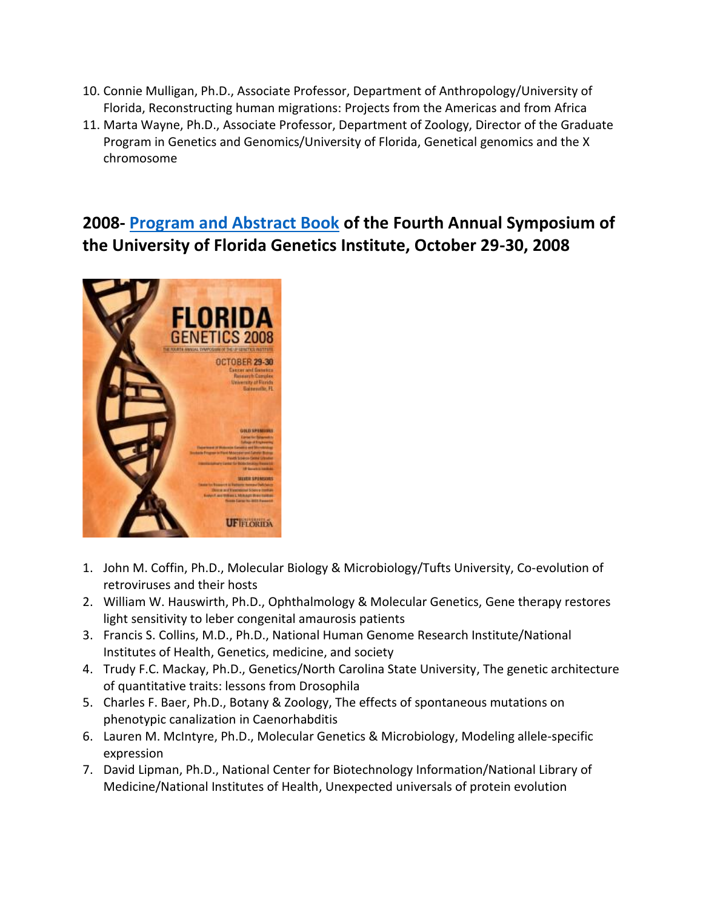- 10. Connie Mulligan, Ph.D., Associate Professor, Department of Anthropology/University of Florida, Reconstructing human migrations: Projects from the Americas and from Africa
- 11. Marta Wayne, Ph.D., Associate Professor, Department of Zoology, Director of the Graduate Program in Genetics and Genomics/University of Florida, Genetical genomics and the X chromosome

## **2008- [Program and Abstract Book](http://ufdc.ufl.edu/IR00000755/00001) of the Fourth Annual Symposium of the University of Florida Genetics Institute, October 29-30, 2008**



- 1. John M. Coffin, Ph.D., Molecular Biology & Microbiology/Tufts University, Co-evolution of retroviruses and their hosts
- 2. William W. Hauswirth, Ph.D., Ophthalmology & Molecular Genetics, Gene therapy restores light sensitivity to leber congenital amaurosis patients
- 3. Francis S. Collins, M.D., Ph.D., National Human Genome Research Institute/National Institutes of Health, Genetics, medicine, and society
- 4. Trudy F.C. Mackay, Ph.D., Genetics/North Carolina State University, The genetic architecture of quantitative traits: lessons from Drosophila
- 5. Charles F. Baer, Ph.D., Botany & Zoology, The effects of spontaneous mutations on phenotypic canalization in Caenorhabditis
- 6. Lauren M. McIntyre, Ph.D., Molecular Genetics & Microbiology, Modeling allele-specific expression
- 7. David Lipman, Ph.D., National Center for Biotechnology Information/National Library of Medicine/National Institutes of Health, Unexpected universals of protein evolution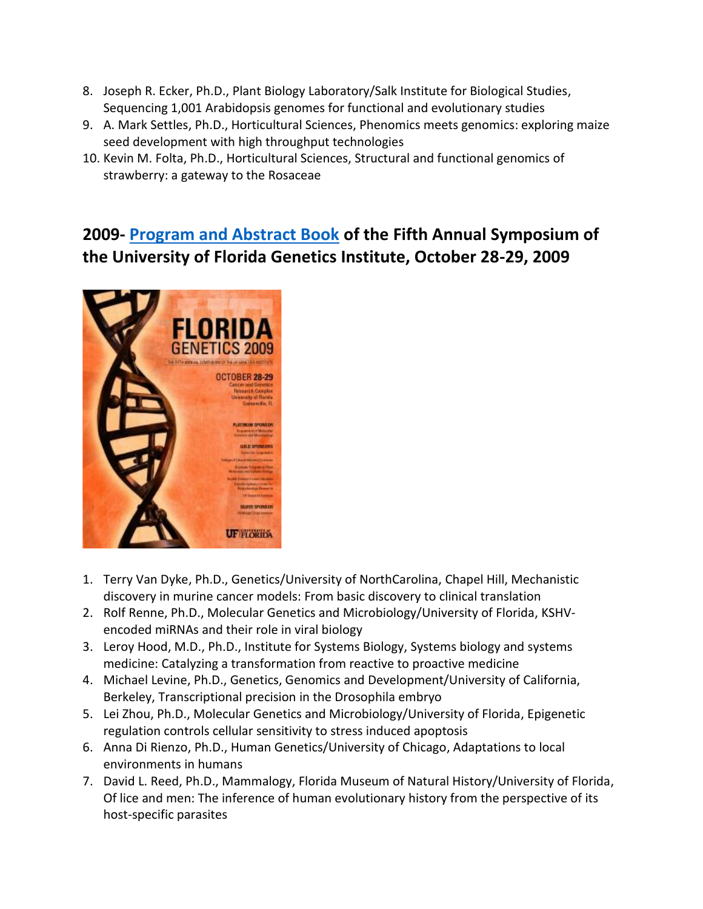- 8. Joseph R. Ecker, Ph.D., Plant Biology Laboratory/Salk Institute for Biological Studies, Sequencing 1,001 Arabidopsis genomes for functional and evolutionary studies
- 9. A. Mark Settles, Ph.D., Horticultural Sciences, Phenomics meets genomics: exploring maize seed development with high throughput technologies
- 10. Kevin M. Folta, Ph.D., Horticultural Sciences, Structural and functional genomics of strawberry: a gateway to the Rosaceae

### **2009- [Program and Abstract Book](http://ufdc.ufl.edu/IR00000756/00001) of the Fifth Annual Symposium of the University of Florida Genetics Institute, October 28-29, 2009**



- 1. Terry Van Dyke, Ph.D., Genetics/University of NorthCarolina, Chapel Hill, Mechanistic discovery in murine cancer models: From basic discovery to clinical translation
- 2. Rolf Renne, Ph.D., Molecular Genetics and Microbiology/University of Florida, KSHVencoded miRNAs and their role in viral biology
- 3. Leroy Hood, M.D., Ph.D., Institute for Systems Biology, Systems biology and systems medicine: Catalyzing a transformation from reactive to proactive medicine
- 4. Michael Levine, Ph.D., Genetics, Genomics and Development/University of California, Berkeley, Transcriptional precision in the Drosophila embryo
- 5. Lei Zhou, Ph.D., Molecular Genetics and Microbiology/University of Florida, Epigenetic regulation controls cellular sensitivity to stress induced apoptosis
- 6. Anna Di Rienzo, Ph.D., Human Genetics/University of Chicago, Adaptations to local environments in humans
- 7. David L. Reed, Ph.D., Mammalogy, Florida Museum of Natural History/University of Florida, Of lice and men: The inference of human evolutionary history from the perspective of its host-specific parasites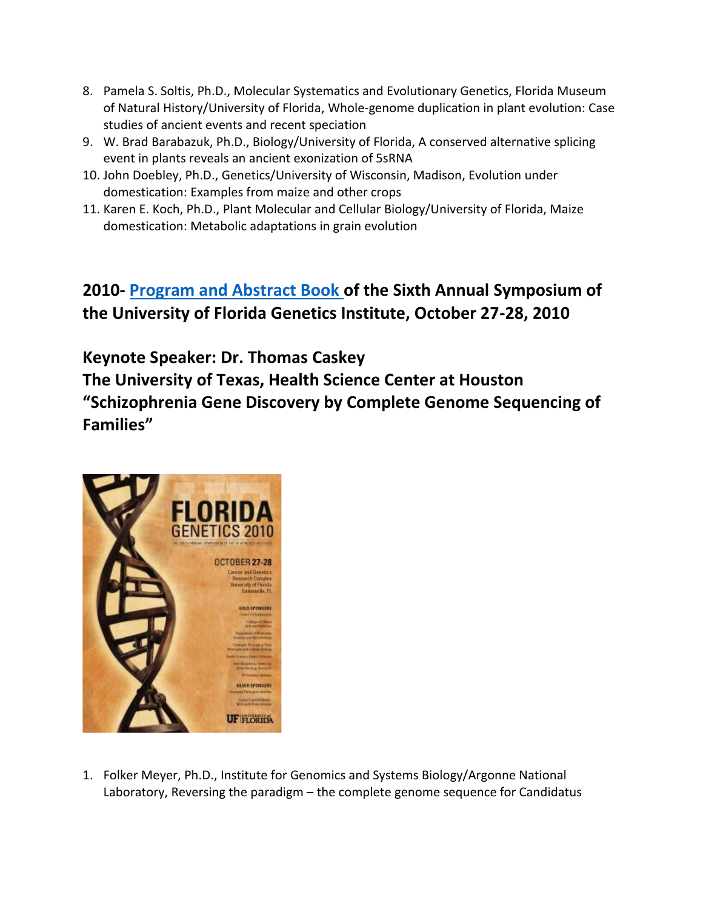- 8. Pamela S. Soltis, Ph.D., Molecular Systematics and Evolutionary Genetics, Florida Museum of Natural History/University of Florida, Whole-genome duplication in plant evolution: Case studies of ancient events and recent speciation
- 9. W. Brad Barabazuk, Ph.D., Biology/University of Florida, A conserved alternative splicing event in plants reveals an ancient exonization of 5sRNA
- 10. John Doebley, Ph.D., Genetics/University of Wisconsin, Madison, Evolution under domestication: Examples from maize and other crops
- 11. Karen E. Koch, Ph.D., Plant Molecular and Cellular Biology/University of Florida, Maize domestication: Metabolic adaptations in grain evolution

### **2010- [Program and Abstract Book](http://ufdc.ufl.edu/IR00000757/00001) of the Sixth Annual Symposium of the University of Florida Genetics Institute, October 27-28, 2010**

**Keynote Speaker: Dr. Thomas Caskey The University of Texas, Health Science Center at Houston "Schizophrenia Gene Discovery by Complete Genome Sequencing of Families"**



1. Folker Meyer, Ph.D., Institute for Genomics and Systems Biology/Argonne National Laboratory, Reversing the paradigm – the complete genome sequence for Candidatus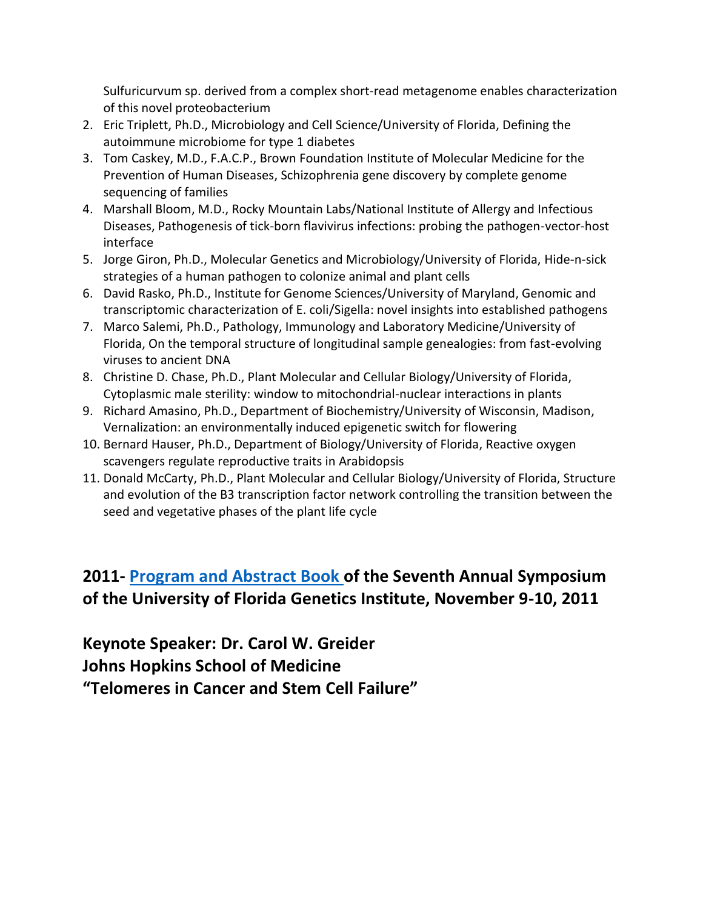Sulfuricurvum sp. derived from a complex short-read metagenome enables characterization of this novel proteobacterium

- 2. Eric Triplett, Ph.D., Microbiology and Cell Science/University of Florida, Defining the autoimmune microbiome for type 1 diabetes
- 3. Tom Caskey, M.D., F.A.C.P., Brown Foundation Institute of Molecular Medicine for the Prevention of Human Diseases, Schizophrenia gene discovery by complete genome sequencing of families
- 4. Marshall Bloom, M.D., Rocky Mountain Labs/National Institute of Allergy and Infectious Diseases, Pathogenesis of tick-born flavivirus infections: probing the pathogen-vector-host interface
- 5. Jorge Giron, Ph.D., Molecular Genetics and Microbiology/University of Florida, Hide-n-sick strategies of a human pathogen to colonize animal and plant cells
- 6. David Rasko, Ph.D., Institute for Genome Sciences/University of Maryland, Genomic and transcriptomic characterization of E. coli/Sigella: novel insights into established pathogens
- 7. Marco Salemi, Ph.D., Pathology, Immunology and Laboratory Medicine/University of Florida, On the temporal structure of longitudinal sample genealogies: from fast-evolving viruses to ancient DNA
- 8. Christine D. Chase, Ph.D., Plant Molecular and Cellular Biology/University of Florida, Cytoplasmic male sterility: window to mitochondrial-nuclear interactions in plants
- 9. Richard Amasino, Ph.D., Department of Biochemistry/University of Wisconsin, Madison, Vernalization: an environmentally induced epigenetic switch for flowering
- 10. Bernard Hauser, Ph.D., Department of Biology/University of Florida, Reactive oxygen scavengers regulate reproductive traits in Arabidopsis
- 11. Donald McCarty, Ph.D., Plant Molecular and Cellular Biology/University of Florida, Structure and evolution of the B3 transcription factor network controlling the transition between the seed and vegetative phases of the plant life cycle

# **2011- [Program and Abstract Book](http://ufdc.ufl.edu/IR00001148/00001) of the Seventh Annual Symposium of the University of Florida Genetics Institute, November 9-10, 2011**

**Keynote Speaker: Dr. Carol W. Greider Johns Hopkins School of Medicine "Telomeres in Cancer and Stem Cell Failure"**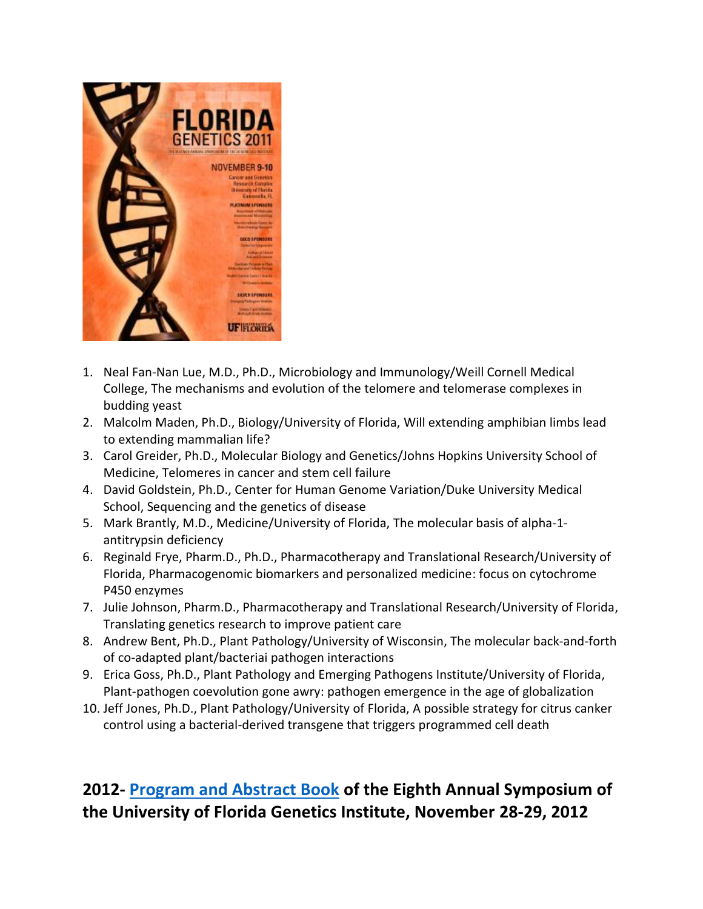

- 1. Neal Fan-Nan Lue, M.D., Ph.D., Microbiology and Immunology/Weill Cornell Medical College, The mechanisms and evolution of the telomere and telomerase complexes in budding yeast
- 2. Malcolm Maden, Ph.D., Biology/University of Florida, Will extending amphibian limbs lead to extending mammalian life?
- 3. Carol Greider, Ph.D., Molecular Biology and Genetics/Johns Hopkins University School of Medicine, Telomeres in cancer and stem cell failure
- 4. David Goldstein, Ph.D., Center for Human Genome Variation/Duke University Medical School, Sequencing and the genetics of disease
- 5. Mark Brantly, M.D., Medicine/University of Florida, The molecular basis of alpha-1 antitrypsin deficiency
- 6. Reginald Frye, Pharm.D., Ph.D., Pharmacotherapy and Translational Research/University of Florida, Pharmacogenomic biomarkers and personalized medicine: focus on cytochrome P450 enzymes
- 7. Julie Johnson, Pharm.D., Pharmacotherapy and Translational Research/University of Florida, Translating genetics research to improve patient care
- 8. Andrew Bent, Ph.D., Plant Pathology/University of Wisconsin, The molecular back-and-forth of co-adapted plant/bacteriai pathogen interactions
- 9. Erica Goss, Ph.D., Plant Pathology and Emerging Pathogens Institute/University of Florida, Plant-pathogen coevolution gone awry: pathogen emergence in the age of globalization
- 10. Jeff Jones, Ph.D., Plant Pathology/University of Florida, A possible strategy for citrus canker control using a bacterial-derived transgene that triggers programmed cell death

# **2012- [Program and Abstract Book](http://ufdc.ufl.edu/IR00001363/00001) of the Eighth Annual Symposium of the University of Florida Genetics Institute, November 28-29, 2012**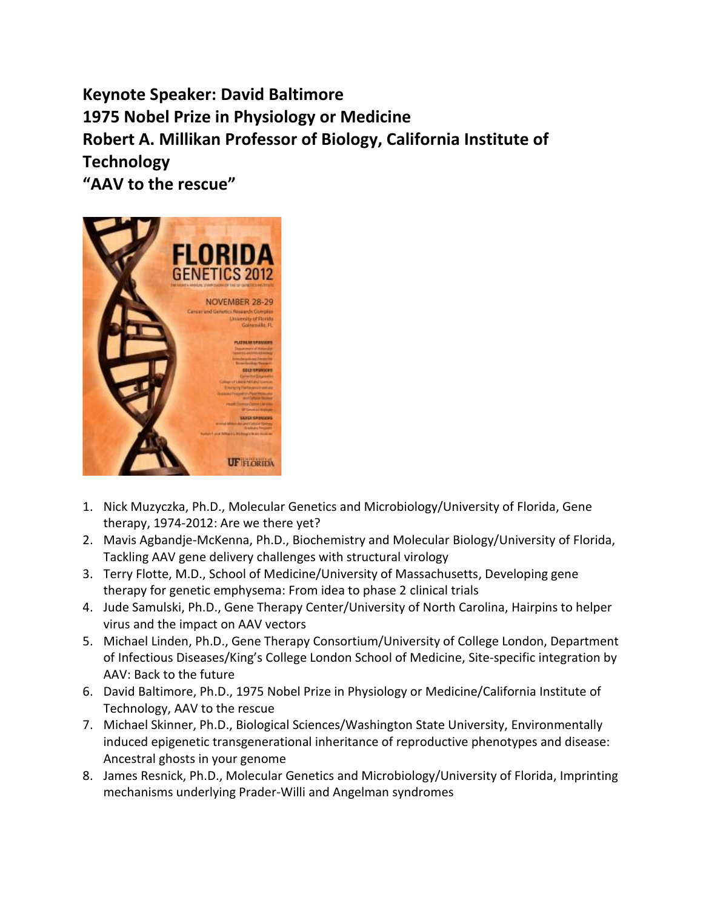**Keynote Speaker: David Baltimore 1975 Nobel Prize in Physiology or Medicine Robert A. Millikan Professor of Biology, California Institute of Technology "AAV to the rescue"**



- 1. Nick Muzyczka, Ph.D., Molecular Genetics and Microbiology/University of Florida, Gene therapy, 1974-2012: Are we there yet?
- 2. Mavis Agbandje-McKenna, Ph.D., Biochemistry and Molecular Biology/University of Florida, Tackling AAV gene delivery challenges with structural virology
- 3. Terry Flotte, M.D., School of Medicine/University of Massachusetts, Developing gene therapy for genetic emphysema: From idea to phase 2 clinical trials
- 4. Jude Samulski, Ph.D., Gene Therapy Center/University of North Carolina, Hairpins to helper virus and the impact on AAV vectors
- 5. Michael Linden, Ph.D., Gene Therapy Consortium/University of College London, Department of Infectious Diseases/King's College London School of Medicine, Site-specific integration by AAV: Back to the future
- 6. David Baltimore, Ph.D., 1975 Nobel Prize in Physiology or Medicine/California Institute of Technology, AAV to the rescue
- 7. Michael Skinner, Ph.D., Biological Sciences/Washington State University, Environmentally induced epigenetic transgenerational inheritance of reproductive phenotypes and disease: Ancestral ghosts in your genome
- 8. James Resnick, Ph.D., Molecular Genetics and Microbiology/University of Florida, Imprinting mechanisms underlying Prader-Willi and Angelman syndromes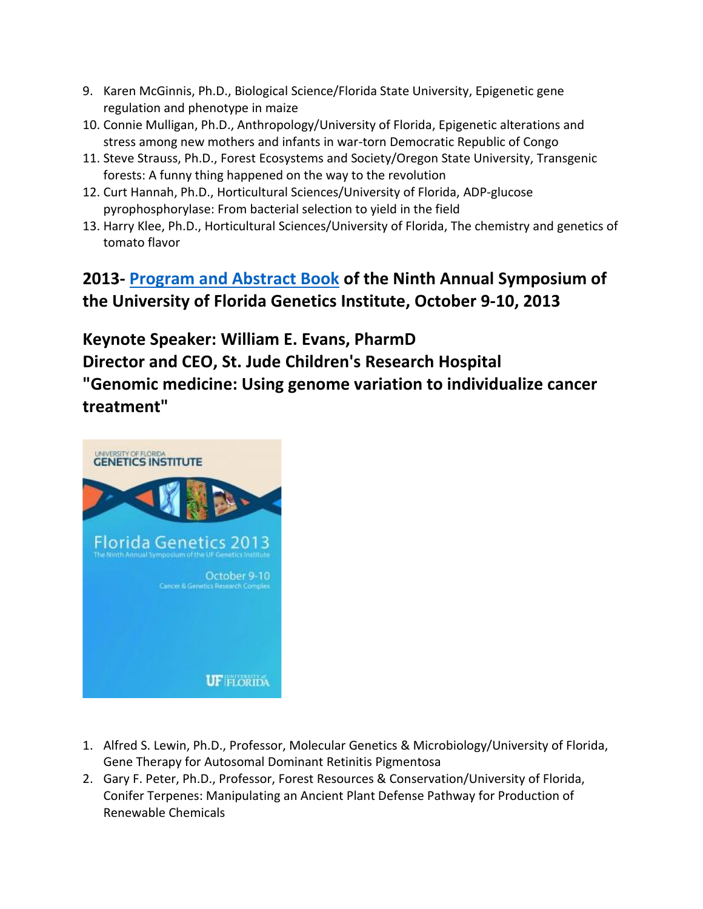- 9. Karen McGinnis, Ph.D., Biological Science/Florida State University, Epigenetic gene regulation and phenotype in maize
- 10. Connie Mulligan, Ph.D., Anthropology/University of Florida, Epigenetic alterations and stress among new mothers and infants in war-torn Democratic Republic of Congo
- 11. Steve Strauss, Ph.D., Forest Ecosystems and Society/Oregon State University, Transgenic forests: A funny thing happened on the way to the revolution
- 12. Curt Hannah, Ph.D., Horticultural Sciences/University of Florida, ADP-glucose pyrophosphorylase: From bacterial selection to yield in the field
- 13. Harry Klee, Ph.D., Horticultural Sciences/University of Florida, The chemistry and genetics of tomato flavor

# **2013- [Program and Abstract Book](http://ufdc.ufl.edu/IR00003869/00001) of the Ninth Annual Symposium of the University of Florida Genetics Institute, October 9-10, 2013**

**Keynote Speaker: William E. Evans, PharmD Director and CEO, St. Jude Children's Research Hospital "Genomic medicine: Using genome variation to individualize cancer treatment"**



- 1. Alfred S. Lewin, Ph.D., Professor, Molecular Genetics & Microbiology/University of Florida, Gene Therapy for Autosomal Dominant Retinitis Pigmentosa
- 2. Gary F. Peter, Ph.D., Professor, Forest Resources & Conservation/University of Florida, Conifer Terpenes: Manipulating an Ancient Plant Defense Pathway for Production of Renewable Chemicals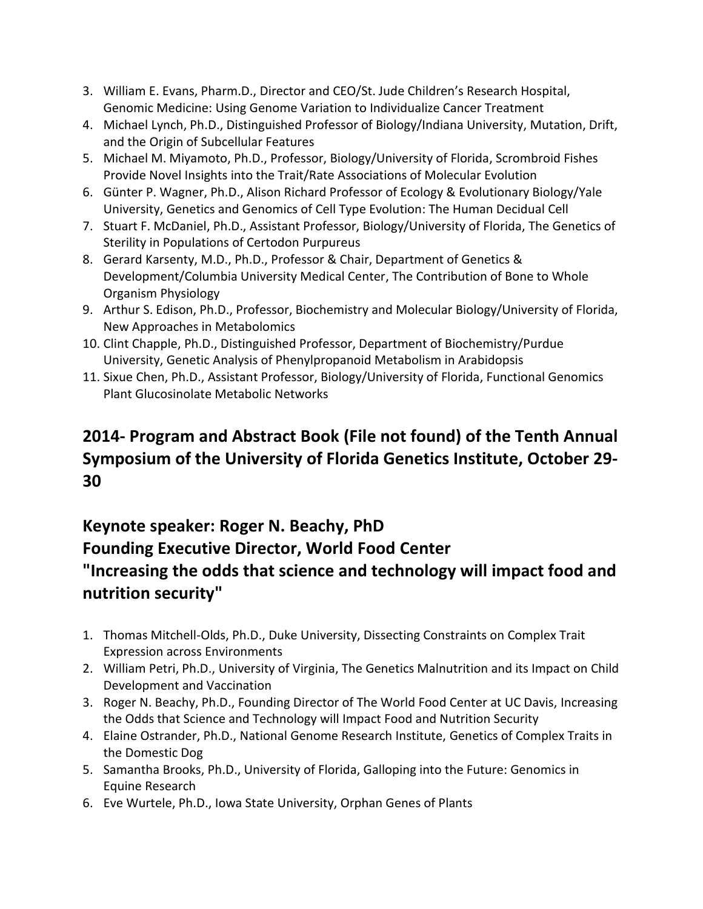- 3. William E. Evans, Pharm.D., Director and CEO/St. Jude Children's Research Hospital, Genomic Medicine: Using Genome Variation to Individualize Cancer Treatment
- 4. Michael Lynch, Ph.D., Distinguished Professor of Biology/Indiana University, Mutation, Drift, and the Origin of Subcellular Features
- 5. Michael M. Miyamoto, Ph.D., Professor, Biology/University of Florida, Scrombroid Fishes Provide Novel Insights into the Trait/Rate Associations of Molecular Evolution
- 6. Günter P. Wagner, Ph.D., Alison Richard Professor of Ecology & Evolutionary Biology/Yale University, Genetics and Genomics of Cell Type Evolution: The Human Decidual Cell
- 7. Stuart F. McDaniel, Ph.D., Assistant Professor, Biology/University of Florida, The Genetics of Sterility in Populations of Certodon Purpureus
- 8. Gerard Karsenty, M.D., Ph.D., Professor & Chair, Department of Genetics & Development/Columbia University Medical Center, The Contribution of Bone to Whole Organism Physiology
- 9. Arthur S. Edison, Ph.D., Professor, Biochemistry and Molecular Biology/University of Florida, New Approaches in Metabolomics
- 10. Clint Chapple, Ph.D., Distinguished Professor, Department of Biochemistry/Purdue University, Genetic Analysis of Phenylpropanoid Metabolism in Arabidopsis
- 11. Sixue Chen, Ph.D., Assistant Professor, Biology/University of Florida, Functional Genomics Plant Glucosinolate Metabolic Networks

## **2014- Program and Abstract Book (File not found) of the Tenth Annual Symposium of the University of Florida Genetics Institute, October 29- 30**

# **Keynote speaker: Roger N. Beachy, PhD Founding Executive Director, World Food Center "Increasing the odds that science and technology will impact food and nutrition security"**

- 1. Thomas Mitchell-Olds, Ph.D., Duke University, Dissecting Constraints on Complex Trait Expression across Environments
- 2. William Petri, Ph.D., University of Virginia, The Genetics Malnutrition and its Impact on Child Development and Vaccination
- 3. Roger N. Beachy, Ph.D., Founding Director of The World Food Center at UC Davis, Increasing the Odds that Science and Technology will Impact Food and Nutrition Security
- 4. Elaine Ostrander, Ph.D., National Genome Research Institute, Genetics of Complex Traits in the Domestic Dog
- 5. Samantha Brooks, Ph.D., University of Florida, Galloping into the Future: Genomics in Equine Research
- 6. Eve Wurtele, Ph.D., Iowa State University, Orphan Genes of Plants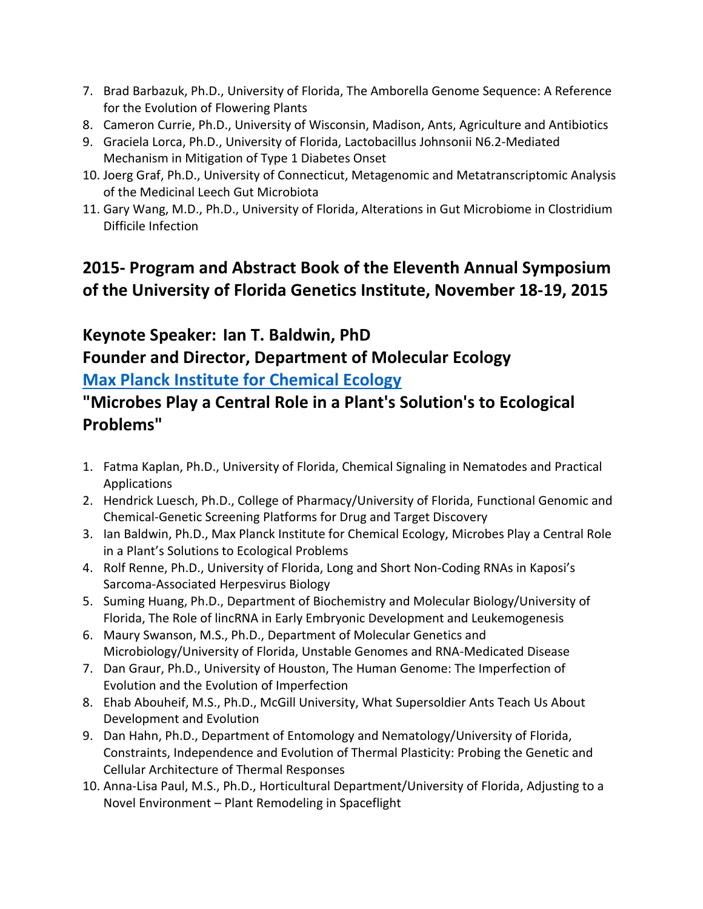- 7. Brad Barbazuk, Ph.D., University of Florida, The Amborella Genome Sequence: A Reference for the Evolution of Flowering Plants
- 8. Cameron Currie, Ph.D., University of Wisconsin, Madison, Ants, Agriculture and Antibiotics
- 9. Graciela Lorca, Ph.D., University of Florida, Lactobacillus Johnsonii N6.2-Mediated Mechanism in Mitigation of Type 1 Diabetes Onset
- 10. Joerg Graf, Ph.D., University of Connecticut, Metagenomic and Metatranscriptomic Analysis of the Medicinal Leech Gut Microbiota
- 11. Gary Wang, M.D., Ph.D., University of Florida, Alterations in Gut Microbiome in Clostridium Difficile Infection

# **2015- Program and Abstract Book of the Eleventh Annual Symposium of the University of Florida Genetics Institute, November 18-19, 2015**

# **Keynote Speaker: Ian T. Baldwin, PhD**

#### **Founder and Director, Department of Molecular Ecology [Max Planck Institute for Chemical Ecology](http://www.ice.mpg.de/ext/home0.html?&L=0)**

### **"Microbes Play a Central Role in a Plant's Solution's to Ecological Problems"**

- 1. Fatma Kaplan, Ph.D., University of Florida, Chemical Signaling in Nematodes and Practical Applications
- 2. Hendrick Luesch, Ph.D., College of Pharmacy/University of Florida, Functional Genomic and Chemical-Genetic Screening Platforms for Drug and Target Discovery
- 3. Ian Baldwin, Ph.D., Max Planck Institute for Chemical Ecology, Microbes Play a Central Role in a Plant's Solutions to Ecological Problems
- 4. Rolf Renne, Ph.D., University of Florida, Long and Short Non-Coding RNAs in Kaposi's Sarcoma-Associated Herpesvirus Biology
- 5. Suming Huang, Ph.D., Department of Biochemistry and Molecular Biology/University of Florida, The Role of lincRNA in Early Embryonic Development and Leukemogenesis
- 6. Maury Swanson, M.S., Ph.D., Department of Molecular Genetics and Microbiology/University of Florida, Unstable Genomes and RNA-Medicated Disease
- 7. Dan Graur, Ph.D., University of Houston, The Human Genome: The Imperfection of Evolution and the Evolution of Imperfection
- 8. Ehab Abouheif, M.S., Ph.D., McGill University, What Supersoldier Ants Teach Us About Development and Evolution
- 9. Dan Hahn, Ph.D., Department of Entomology and Nematology/University of Florida, Constraints, Independence and Evolution of Thermal Plasticity: Probing the Genetic and Cellular Architecture of Thermal Responses
- 10. Anna-Lisa Paul, M.S., Ph.D., Horticultural Department/University of Florida, Adjusting to a Novel Environment – Plant Remodeling in Spaceflight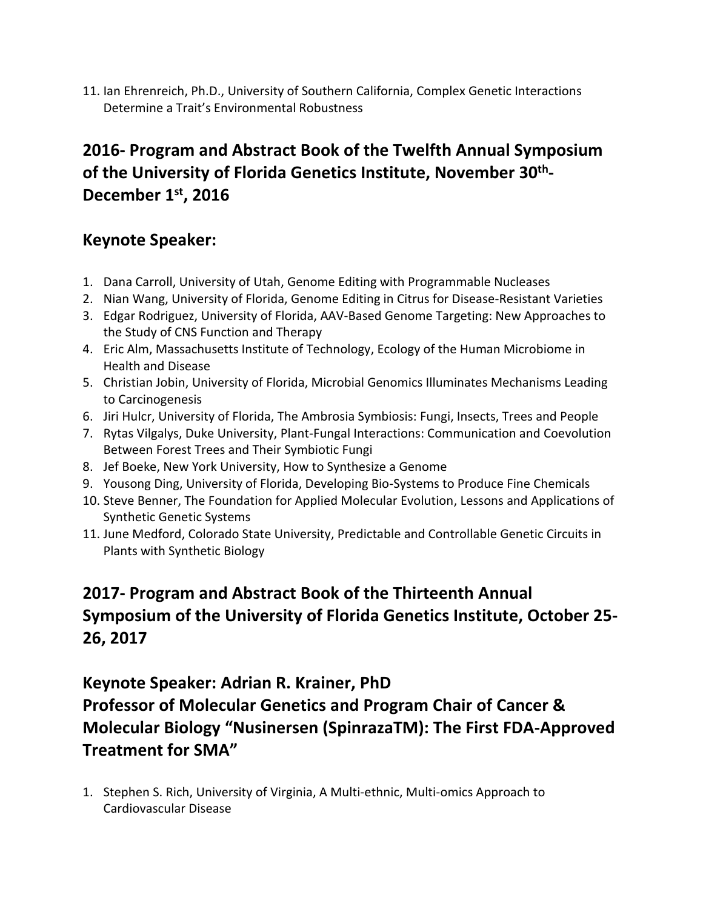11. Ian Ehrenreich, Ph.D., University of Southern California, Complex Genetic Interactions Determine a Trait's Environmental Robustness

# **2016- Program and Abstract Book of the Twelfth Annual Symposium of the University of Florida Genetics Institute, November 30th - December 1st, 2016**

#### **Keynote Speaker:**

- 1. Dana Carroll, University of Utah, Genome Editing with Programmable Nucleases
- 2. Nian Wang, University of Florida, Genome Editing in Citrus for Disease-Resistant Varieties
- 3. Edgar Rodriguez, University of Florida, AAV-Based Genome Targeting: New Approaches to the Study of CNS Function and Therapy
- 4. Eric Alm, Massachusetts Institute of Technology, Ecology of the Human Microbiome in Health and Disease
- 5. Christian Jobin, University of Florida, Microbial Genomics Illuminates Mechanisms Leading to Carcinogenesis
- 6. Jiri Hulcr, University of Florida, The Ambrosia Symbiosis: Fungi, Insects, Trees and People
- 7. Rytas Vilgalys, Duke University, Plant-Fungal Interactions: Communication and Coevolution Between Forest Trees and Their Symbiotic Fungi
- 8. Jef Boeke, New York University, How to Synthesize a Genome
- 9. Yousong Ding, University of Florida, Developing Bio-Systems to Produce Fine Chemicals
- 10. Steve Benner, The Foundation for Applied Molecular Evolution, Lessons and Applications of Synthetic Genetic Systems
- 11. June Medford, Colorado State University, Predictable and Controllable Genetic Circuits in Plants with Synthetic Biology

## **2017- Program and Abstract Book of the Thirteenth Annual Symposium of the University of Florida Genetics Institute, October 25- 26, 2017**

#### **Keynote Speaker: Adrian R. Krainer, PhD**

**Professor of Molecular Genetics and Program Chair of Cancer & Molecular Biology "Nusinersen (SpinrazaTM): The First FDA-Approved Treatment for SMA"**

1. Stephen S. Rich, University of Virginia, A Multi-ethnic, Multi-omics Approach to Cardiovascular Disease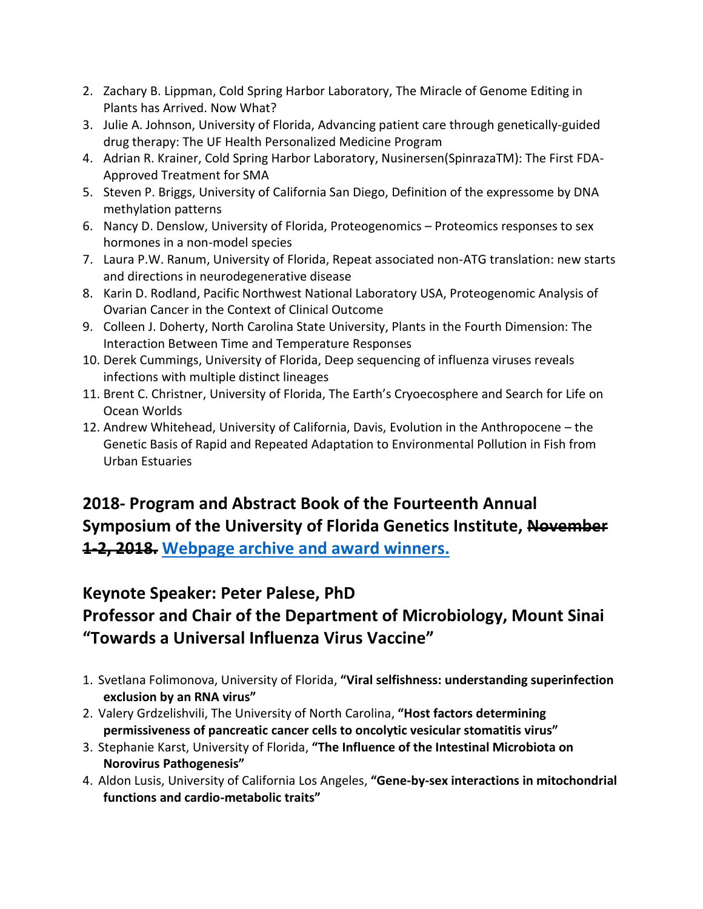- 2. Zachary B. Lippman, Cold Spring Harbor Laboratory, The Miracle of Genome Editing in Plants has Arrived. Now What?
- 3. Julie A. Johnson, University of Florida, Advancing patient care through genetically-guided drug therapy: The UF Health Personalized Medicine Program
- 4. Adrian R. Krainer, Cold Spring Harbor Laboratory, Nusinersen(SpinrazaTM): The First FDA-Approved Treatment for SMA
- 5. Steven P. Briggs, University of California San Diego, Definition of the expressome by DNA methylation patterns
- 6. Nancy D. Denslow, University of Florida, Proteogenomics Proteomics responses to sex hormones in a non-model species
- 7. Laura P.W. Ranum, University of Florida, Repeat associated non-ATG translation: new starts and directions in neurodegenerative disease
- 8. Karin D. Rodland, Pacific Northwest National Laboratory USA, Proteogenomic Analysis of Ovarian Cancer in the Context of Clinical Outcome
- 9. Colleen J. Doherty, North Carolina State University, Plants in the Fourth Dimension: The Interaction Between Time and Temperature Responses
- 10. Derek Cummings, University of Florida, Deep sequencing of influenza viruses reveals infections with multiple distinct lineages
- 11. Brent C. Christner, University of Florida, The Earth's Cryoecosphere and Search for Life on Ocean Worlds
- 12. Andrew Whitehead, University of California, Davis, Evolution in the Anthropocene the Genetic Basis of Rapid and Repeated Adaptation to Environmental Pollution in Fish from Urban Estuaries

# **2018- Program and Abstract Book of the Fourteenth Annual Symposium of the University of Florida Genetics Institute, November 1-2, 2018. Webpage archive [and award winners.](http://ufgi.ufl.edu/florida-genetics-symposium-2018/)**

#### **Keynote Speaker: Peter Palese, PhD**

# **Professor and Chair of the Department of Microbiology, Mount Sinai "Towards a Universal Influenza Virus Vaccine"**

- 1. Svetlana Folimonova, University of Florida, **"Viral selfishness: understanding superinfection exclusion by an RNA virus"**
- 2. Valery Grdzelishvili, The University of North Carolina, **"Host factors determining permissiveness of pancreatic cancer cells to oncolytic vesicular stomatitis virus"**
- 3. Stephanie Karst, University of Florida, **"The Influence of the Intestinal Microbiota on Norovirus Pathogenesis"**
- 4. Aldon Lusis, University of California Los Angeles, **"Gene-by-sex interactions in mitochondrial functions and cardio-metabolic traits"**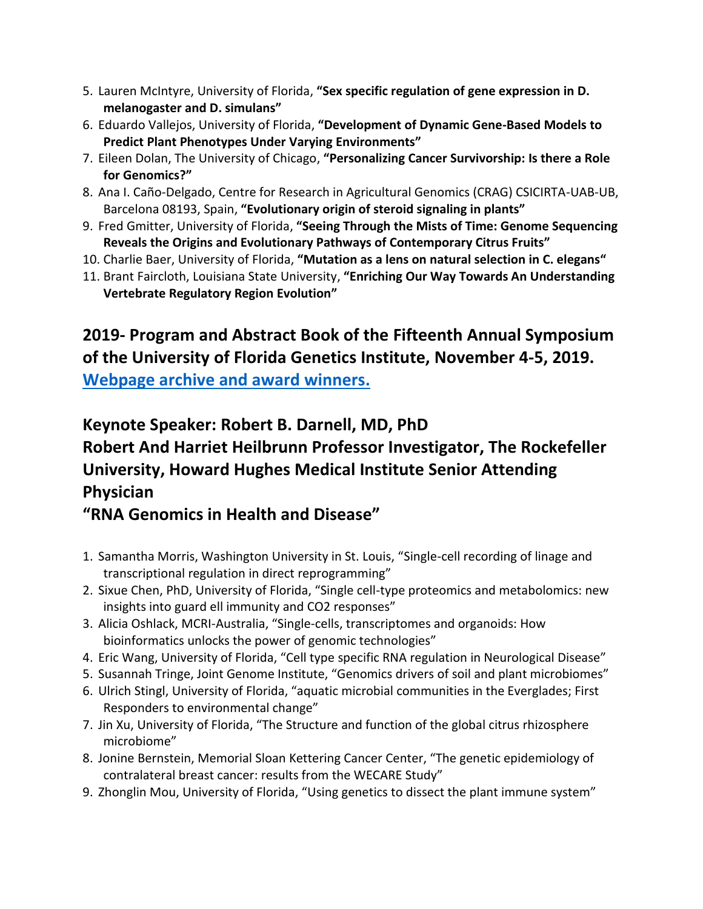- 5. Lauren McIntyre, University of Florida, **"Sex specific regulation of gene expression in D. melanogaster and D. simulans"**
- 6. Eduardo Vallejos, University of Florida, **"Development of Dynamic Gene-Based Models to Predict Plant Phenotypes Under Varying Environments"**
- 7. Eileen Dolan, The University of Chicago, **"Personalizing Cancer Survivorship: Is there a Role for Genomics?"**
- 8. Ana I. Caño-Delgado, Centre for Research in Agricultural Genomics (CRAG) CSICIRTA-UAB-UB, Barcelona 08193, Spain, **"Evolutionary origin of steroid signaling in plants"**
- 9. Fred Gmitter, University of Florida, **"Seeing Through the Mists of Time: Genome Sequencing Reveals the Origins and Evolutionary Pathways of Contemporary Citrus Fruits"**
- 10. Charlie Baer, University of Florida, **"Mutation as a lens on natural selection in C. elegans"**
- 11. Brant Faircloth, Louisiana State University, **"Enriching Our Way Towards An Understanding Vertebrate Regulatory Region Evolution"**

# **2019- Program and Abstract Book of the Fifteenth Annual Symposium of the University of Florida Genetics Institute, November 4-5, 2019. [Webpage archive and award winners.](http://ufgi.ufl.edu/florida-genetics-symposium-2019/)**

### **Keynote Speaker: Robert B. Darnell, MD, PhD Robert And Harriet Heilbrunn Professor Investigator, The Rockefeller University, Howard Hughes Medical Institute Senior Attending Physician**

### **"RNA Genomics in Health and Disease"**

- 1. Samantha Morris, Washington University in St. Louis, "Single-cell recording of linage and transcriptional regulation in direct reprogramming"
- 2. Sixue Chen, PhD, University of Florida, "Single cell-type proteomics and metabolomics: new insights into guard ell immunity and CO2 responses"
- 3. Alicia Oshlack, MCRI-Australia, "Single-cells, transcriptomes and organoids: How bioinformatics unlocks the power of genomic technologies"
- 4. Eric Wang, University of Florida, "Cell type specific RNA regulation in Neurological Disease"
- 5. Susannah Tringe, Joint Genome Institute, "Genomics drivers of soil and plant microbiomes"
- 6. Ulrich Stingl, University of Florida, "aquatic microbial communities in the Everglades; First Responders to environmental change"
- 7. Jin Xu, University of Florida, "The Structure and function of the global citrus rhizosphere microbiome"
- 8. Jonine Bernstein, Memorial Sloan Kettering Cancer Center, "The genetic epidemiology of contralateral breast cancer: results from the WECARE Study"
- 9. Zhonglin Mou, University of Florida, "Using genetics to dissect the plant immune system"